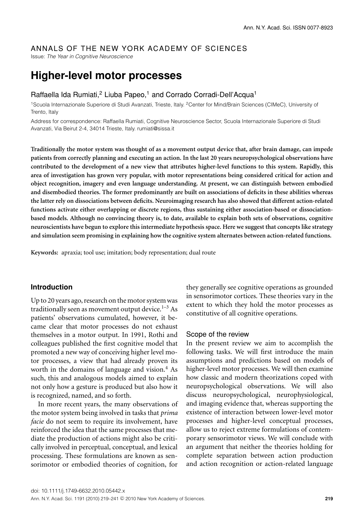# ANNALS OF THE NEW YORK ACADEMY OF SCIENCES

Issue: The Year in Cognitive Neuroscience

# **Higher-level motor processes**

# Raffaella Ida Rumiati,<sup>2</sup> Liuba Papeo,<sup>1</sup> and Corrado Corradi-Dell'Acqua<sup>1</sup>

<sup>1</sup>Scuola Internazionale Superiore di Studi Avanzati, Trieste, Italy. <sup>2</sup>Center for Mind/Brain Sciences (CIMeC), University of Trento, Italy

Address for correspondence: Raffaella Rumiati, Cognitive Neuroscience Sector, Scuola Internazionale Superiore di Studi Avanzati, Via Beirut 2-4, 34014 Trieste, Italy. rumiati@sissa.it

**Traditionally the motor system was thought of as a movement output device that, after brain damage, can impede patients from correctly planning and executing an action. In the last 20 years neuropsychological observations have contributed to the development of a new view that attributes higher-level functions to this system. Rapidly, this area of investigation has grown very popular, with motor representations being considered critical for action and object recognition, imagery and even language understanding. At present, we can distinguish between embodied and disembodied theories. The former predominantly are built on associations of deficits in these abilities whereas the latter rely on dissociations between deficits. Neuroimaging research has also showed that different action-related functions activate either overlapping or discrete regions, thus sustaining either association-based or dissociationbased models. Although no convincing theory is, to date, available to explain both sets of observations, cognitive neuroscientists have begun to explore this intermediate hypothesis space. Here we suggest that concepts like strategy and simulation seem promising in explaining how the cognitive system alternates between action-related functions.**

**Keywords:** apraxia; tool use; imitation; body representation; dual route

## **Introduction**

Up to 20 years ago, research on the motor system was traditionally seen as movement output device. $1-3$  As patients' observations cumulated, however, it became clear that motor processes do not exhaust themselves in a motor output. In 1991, Rothi and colleagues published the first cognitive model that promoted a new way of conceiving higher level motor processes, a view that had already proven its worth in the domains of language and vision.<sup>4</sup> As such, this and analogous models aimed to explain not only how a gesture is produced but also how it is recognized, named, and so forth.

In more recent years, the many observations of the motor system being involved in tasks that *prima facie* do not seem to require its involvement, have reinforced the idea that the same processes that mediate the production of actions might also be critically involved in perceptual, conceptual, and lexical processing. These formulations are known as sensorimotor or embodied theories of cognition, for

they generally see cognitive operations as grounded in sensorimotor cortices. These theories vary in the extent to which they hold the motor processes as constitutive of all cognitive operations.

#### Scope of the review

In the present review we aim to accomplish the following tasks. We will first introduce the main assumptions and predictions based on models of higher-level motor processes. We will then examine how classic and modern theorizations coped with neuropsychological observations. We will also discuss neuropsychological, neurophysiological, and imaging evidence that, whereas supporting the existence of interaction between lower-level motor processes and higher-level conceptual processes, allow us to reject extreme formulations of contemporary sensorimotor views. We will conclude with an argument that neither the theories holding for complete separation between action production and action recognition or action-related language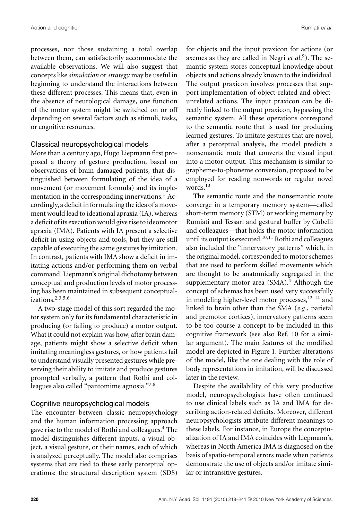processes, nor those sustaining a total overlap between them, can satisfactorily accommodate the available observations. We will also suggest that concepts like *simulation* or *strategy* may be useful in beginning to understand the interactions between these different processes. This means that, even in the absence of neurological damage, one function of the motor system might be switched on or off depending on several factors such as stimuli, tasks, or cognitive resources.

## Classical neuropsychological models

More than a century ago, Hugo Liepmann first proposed a theory of gesture production, based on observations of brain damaged patients, that distinguished between formulating of the idea of a movement (or movement formula) and its implementation in the corresponding innervations.<sup>1</sup> Accordingly, a deficit in formulating the idea of a movement would lead to ideational apraxia (IA), whereas a deficit of its execution would give rise to ideomotor apraxia (IMA). Patients with IA present a selective deficit in using objects and tools, but they are still capable of executing the same gestures by imitation. In contrast, patients with IMA show a deficit in imitating actions and/or performing them on verbal command. Liepmann's original dichotomy between conceptual and production levels of motor processing has been maintained in subsequent conceptualizations.<sup>2</sup>,3,5,<sup>6</sup>

A two-stage model of this sort regarded the motor system only for its fundamental characteristic in producing (or failing to produce) a motor output. What it could not explain was how, after brain damage, patients might show a selective deficit when imitating meaningless gestures, or how patients fail to understand visually presented gestures while preserving their ability to imitate and produce gestures prompted verbally, a pattern that Rothi and colleagues also called "pantomime agnosia."7,<sup>8</sup>

## Cognitive neuropsychological models

The encounter between classic neuropsychology and the human information processing approach gave rise to the model of Rothi and colleagues.<sup>4</sup> The model distinguishes different inputs, a visual object, a visual gesture, or their names, each of which is analyzed perceptually. The model also comprises systems that are tied to these early perceptual operations: the structural description system (SDS) for objects and the input praxicon for actions (or axemes as they are called in Negri *et al*. 9). The semantic system stores conceptual knowledge about objects and actions already known to the individual. The output praxicon involves processes that support implementation of object-related and objectunrelated actions. The input praxicon can be directly linked to the output praxicon, bypassing the semantic system. All these operations correspond to the semantic route that is used for producing learned gestures. To imitate gestures that are novel, after a perceptual analysis, the model predicts a nonsemantic route that converts the visual input into a motor output. This mechanism is similar to grapheme-to-phoneme conversion, proposed to be employed for reading nonwords or regular novel words.<sup>10</sup>

The semantic route and the nonsemantic route converge in a temporary memory system—called short-term memory (STM) or working memory by Rumiati and Tessari and gestural buffer by Cubelli and colleagues—that holds the motor information until its output is executed.<sup>10,11</sup> Rothi and colleagues also included the "innervatory patterns" which, in the original model, corresponded to motor schemes that are used to perform skilled movements which are thought to be anatomically segregated in the supplementary motor area (SMA).<sup>4</sup> Although the concept of schemas has been used very successfully in modeling higher-level motor processes,<sup>12-14</sup> and linked to brain other than the SMA (*e.g*., parietal and premotor cortices), innervatory patterns seem to be too course a concept to be included in this cognitive framework (see also Ref. 10 for a similar argument). The main features of the modified model are depicted in Figure 1. Further alterations of the model, like the one dealing with the role of body representations in imitation, will be discussed later in the review.

Despite the availability of this very productive model, neuropsychologists have often continued to use clinical labels such as IA and IMA for describing action-related deficits. Moreover, different neuropsychologists attribute different meanings to these labels. For instance, in Europe the conceptualization of IA and IMA coincides with Liepmann's, whereas in North America IMA is diagnosed on the basis of spatio-temporal errors made when patients demonstrate the use of objects and/or imitate similar or intransitive gestures.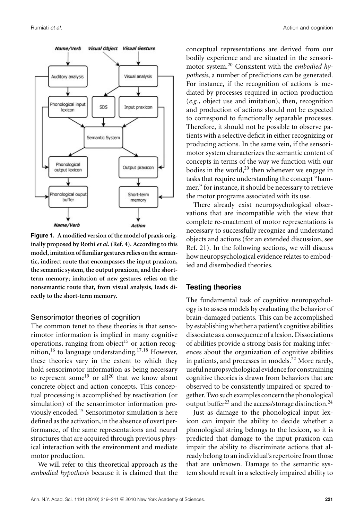

**Figure 1. A modified version of the model of praxis originally proposed by Rothi** *et al***. (Ref. 4). According to this model, imitation of familiar gestures relies on the semantic, indirect route that encompasses the input praxicon, the semantic system, the output praxicon, and the shortterm memory; imitation of new gestures relies on the nonsemantic route that, from visual analysis, leads directly to the short-term memory.**

#### Sensorimotor theories of cognition

The common tenet to these theories is that sensorimotor information is implied in many cognitive operations, ranging from  $\omega$ bject<sup>15</sup> or action recognition,<sup>16</sup> to language understanding.<sup>17</sup>,<sup>18</sup> However, these theories vary in the extent to which they hold sensorimotor information as being necessary to represent some<sup>19</sup> or all<sup>20</sup> that we know about concrete object and action concepts. This conceptual processing is accomplished by reactivation (or simulation) of the sensorimotor information previously encoded.<sup>15</sup> Sensorimotor simulation is here defined as the activation, in the absence of overt performance, of the same representations and neural structures that are acquired through previous physical interaction with the environment and mediate motor production.

We will refer to this theoretical approach as the *embodied hypothesis* because it is claimed that the conceptual representations are derived from our bodily experience and are situated in the sensorimotor system.20 Consistent with the *embodied hypothesis*, a number of predictions can be generated. For instance, if the recognition of actions is mediated by processes required in action production (*e.g*., object use and imitation), then, recognition and production of actions should not be expected to correspond to functionally separable processes. Therefore, it should not be possible to observe patients with a selective deficit in either recognizing or producing actions. In the same vein, if the sensorimotor system characterizes the semantic content of concepts in terms of the way we function with our bodies in the world,<sup>20</sup> then whenever we engage in tasks that require understanding the concept "hammer," for instance, it should be necessary to retrieve the motor programs associated with its use.

There already exist neuropsychological observations that are incompatible with the view that complete re-enactment of motor representations is necessary to successfully recognize and understand objects and actions (for an extended discussion, see Ref. 21). In the following sections, we will discuss how neuropsychological evidence relates to embodied and disembodied theories.

## **Testing theories**

The fundamental task of cognitive neuropsychology is to assess models by evaluating the behavior of brain-damaged patients. This can be accomplished by establishing whether a patient's cognitive abilities dissociate as a consequence of a lesion. Dissociations of abilities provide a strong basis for making inferences about the organization of cognitive abilities in patients, and processes in models.<sup>22</sup> More rarely, useful neuropsychological evidence for constraining cognitive theories is drawn from behaviors that are observed to be consistently impaired or spared together. Two such examples concern the phonological output buffer<sup>23</sup> and the access/storage distinction.<sup>24</sup>

Just as damage to the phonological input lexicon can impair the ability to decide whether a phonological string belongs to the lexicon, so it is predicted that damage to the input praxicon can impair the ability to discriminate actions that already belong to an individual's repertoire from those that are unknown. Damage to the semantic system should result in a selectively impaired ability to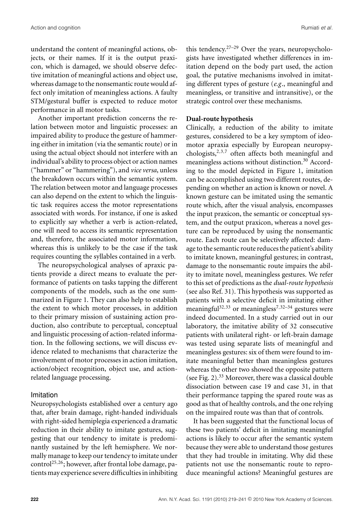understand the content of meaningful actions, objects, or their names. If it is the output praxicon, which is damaged, we should observe defective imitation of meaningful actions and object use, whereas damage to the nonsemantic route would affect only imitation of meaningless actions. A faulty STM/gestural buffer is expected to reduce motor performance in all motor tasks.

Another important prediction concerns the relation between motor and linguistic processes: an impaired ability to produce the gesture of hammering either in imitation (via the semantic route) or in using the actual object should not interfere with an individual's ability to process object or action names ("hammer" or "hammering"), and *vice versa*, unless the breakdown occurs within the semantic system. The relation between motor and language processes can also depend on the extent to which the linguistic task requires access the motor representations associated with words. For instance, if one is asked to explicitly say whether a verb is action-related, one will need to access its semantic representation and, therefore, the associated motor information, whereas this is unlikely to be the case if the task requires counting the syllables contained in a verb.

The neuropsychological analyses of apraxic patients provide a direct means to evaluate the performance of patients on tasks tapping the different components of the models, such as the one summarized in Figure 1. They can also help to establish the extent to which motor processes, in addition to their primary mission of sustaining action production, also contribute to perceptual, conceptual and linguistic processing of action-related information. In the following sections, we will discuss evidence related to mechanisms that characterize the involvement of motor processes in action imitation, action/object recognition, object use, and actionrelated language processing.

## Imitation

Neuropsychologists established over a century ago that, after brain damage, right-handed individuals with right-sided hemiplegia experienced a dramatic reduction in their ability to imitate gestures, suggesting that our tendency to imitate is predominantly sustained by the left hemisphere. We normally manage to keep our tendency to imitate under control<sup>25,26</sup>; however, after frontal lobe damage, patients may experience severe difficulties in inhibiting this tendency. $27-29$  Over the years, neuropsychologists have investigated whether differences in imitation depend on the body part used, the action goal, the putative mechanisms involved in imitating different types of gesture (*e.g*., meaningful and meaningless, or transitive and intransitive), or the strategic control over these mechanisms.

## **Dual-route hypothesis**

Clinically, a reduction of the ability to imitate gestures, considered to be a key symptom of ideomotor apraxia especially by European neuropsychologists, $2,3,7$  often affects both meaningful and meaningless actions without distinction.<sup>30</sup> According to the model depicted in Figure 1, imitation can be accomplished using two different routes, depending on whether an action is known or novel. A known gesture can be imitated using the semantic route which, after the visual analysis, encompasses the input praxicon, the semantic or conceptual system, and the output praxicon, whereas a novel gesture can be reproduced by using the nonsemantic route. Each route can be selectively affected: damage to the semantic route reduces the patient's ability to imitate known, meaningful gestures; in contrast, damage to the nonsemantic route impairs the ability to imitate novel, meaningless gestures. We refer to this set of predictions as the *dual-route hypothesis* (see also Ref. 31). This hypothesis was supported as patients with a selective deficit in imitating either meaningful<sup>32,33</sup> or meaningless<sup>7,32–34</sup> gestures were indeed documented. In a study carried out in our laboratory, the imitative ability of 32 consecutive patients with unilateral right- or left-brain damage was tested using separate lists of meaningful and meaningless gestures: six of them were found to imitate meaningful better than meaningless gestures whereas the other two showed the opposite pattern (see Fig. 2). $33$  Moreover, there was a classical double dissociation between case 19 and case 31, in that their performance tapping the spared route was as good as that of healthy controls, and the one relying on the impaired route was than that of controls.

It has been suggested that the functional locus of these two patients' deficit in imitating meaningful actions is likely to occur after the semantic system because they were able to understand those gestures that they had trouble in imitating. Why did these patients not use the nonsemantic route to reproduce meaningful actions? Meaningful gestures are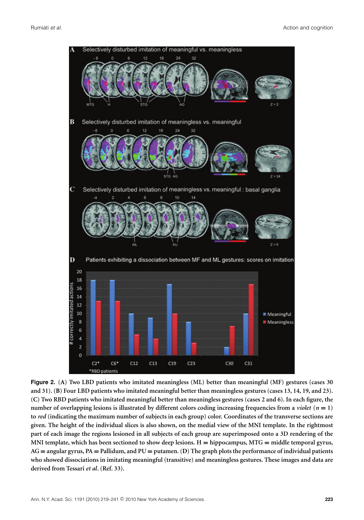

**Figure 2. (A) Two LBD patients who imitated meaningless (ML) better than meaningful (MF) gestures (cases 30 and 31). (B) Four LBD patients who imitated meaningful better than meaningless gestures (cases 13, 14, 19, and 23). (C) Two RBD patients who imitated meaningful better than meaningless gestures (cases 2 and 6). In each figure, the number of overlapping lesions is illustrated by different colors coding increasing frequencies from a** *violet* **(***n* **= 1) to** *red* **(indicating the maximum number of subjects in each group) color. Coordinates of the transverse sections are given. The height of the individual slices is also shown, on the medial view of the MNI template. In the rightmost part of each image the regions lesioned in all subjects of each group are superimposed onto a 3D rendering of the MNI template, which has been sectioned to show deep lesions. H = hippocampus, MTG = middle temporal gyrus, AG = angular gyrus, PA = Pallidum, and PU = putamen. (D) The graph plots the performance of individual patients who showed dissociations in imitating meaningful (transitive) and meaningless gestures. These images and data are derived from Tessari** *et al***. (Ref. 33).**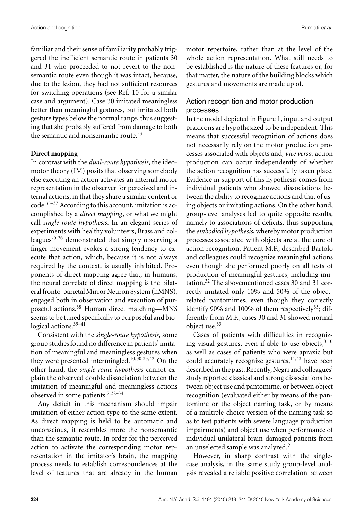familiar and their sense of familiarity probably triggered the inefficient semantic route in patients 30 and 31 who proceeded to not revert to the nonsemantic route even though it was intact, because, due to the lesion, they had not sufficient resources for switching operations (see Ref. 10 for a similar case and argument). Case 30 imitated meaningless better than meaningful gestures, but imitated both gesture types below the normal range, thus suggesting that she probably suffered from damage to both the semantic and nonsemantic route.<sup>33</sup>

## **Direct mapping**

In contrast with the *dual-route hypothesis*, the ideomotor theory (IM) posits that observing somebody else executing an action activates an internal motor representation in the observer for perceived and internal actions, in that they share a similar content or  $code.<sup>35-37</sup> According to this account, initiation is ac$ complished by a *direct mapping*, or what we might call *single-route hypothesis*. In an elegant series of experiments with healthy volunteers, Brass and colleagues<sup>25,26</sup> demonstrated that simply observing a finger movement evokes a strong tendency to execute that action, which, because it is not always required by the context, is usually inhibited. Proponents of direct mapping agree that, in humans, the neural correlate of direct mapping is the bilateral fronto-parietal Mirror Neuron System (hMNS), engaged both in observation and execution of purposeful actions.<sup>38</sup> Human direct matching—MNS seems to be tuned specifically to purposeful and biological actions.<sup>39-41</sup>

Consistent with the *single-route hypothesis*, some group studies found no difference in patients' imitation of meaningful and meaningless gestures when they were presented intermingled.<sup>10</sup>,30,33,<sup>42</sup> On the other hand, the *single-route hypothesis* cannot explain the observed double dissociation between the imitation of meaningful and meaningless actions observed in some patients.7,32–34

Any deficit in this mechanism should impair imitation of either action type to the same extent. As direct mapping is held to be automatic and unconscious, it resembles more the nonsemantic than the semantic route. In order for the perceived action to activate the corresponding motor representation in the imitator's brain, the mapping process needs to establish correspondences at the level of features that are already in the human

motor repertoire, rather than at the level of the whole action representation. What still needs to be established is the nature of these features or, for that matter, the nature of the building blocks which gestures and movements are made up of.

# Action recognition and motor production processes

In the model depicted in Figure 1, input and output praxicons are hypothesized to be independent. This means that successful recognition of actions does not necessarily rely on the motor production processes associated with objects and, *vice versa*, action production can occur independently of whether the action recognition has successfully taken place. Evidence in support of this hypothesis comes from individual patients who showed dissociations between the ability to recognize actions and that of using objects or imitating actions. On the other hand, group-level analyses led to quite opposite results, namely to associations of deficits, thus supporting the *embodied hypothesis*, whereby motor production processes associated with objects are at the core of action recognition. Patient M.F., described Bartolo and colleagues could recognize meaningful actions even though she performed poorly on all tests of production of meaningful gestures, including imitation.<sup>32</sup> The abovementioned cases 30 and 31 correctly imitated only 10% and 50% of the objectrelated pantomimes, even though they correctly identify 90% and 100% of them respectively<sup>33</sup>; differently from M.F., cases 30 and 31 showed normal object use.<sup>33</sup>

Cases of patients with difficulties in recognizing visual gestures, even if able to use objects, $8,10$ as well as cases of patients who were apraxic but could accurately recognize gestures, $14,43$  have been described in the past. Recently, Negri and colleagues' study reported classical and strong dissociations between object use and pantomime, or between object recognition (evaluated either by means of the pantomime or the object naming task, or by means of a multiple-choice version of the naming task so as to test patients with severe language production impairments) and object use when performance of individual unilateral brain-damaged patients from an unselected sample was analyzed.<sup>9</sup>

However, in sharp contrast with the singlecase analysis, in the same study group-level analysis revealed a reliable positive correlation between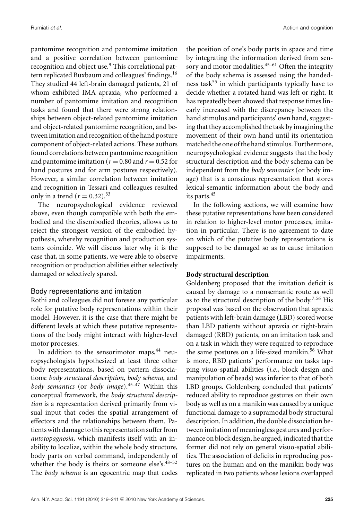pantomime recognition and pantomime imitation and a positive correlation between pantomime recognition and object use.<sup>9</sup> This correlational pattern replicated Buxbaum and colleagues' findings.<sup>16</sup> They studied 44 left-brain damaged patients, 21 of whom exhibited IMA apraxia, who performed a number of pantomime imitation and recognition tasks and found that there were strong relationships between object-related pantomime imitation and object-related pantomime recognition, and between imitation and recognition of the hand posture component of object-related actions. These authors found correlations between pantomime recognition and pantomime imitation ( $r = 0.80$  and  $r = 0.52$  for hand postures and for arm postures respectively). However, a similar correlation between imitation and recognition in Tessari and colleagues resulted only in a trend ( $r = 0.32$ ).<sup>33</sup>

The neuropsychological evidence reviewed above, even though compatible with both the embodied and the disembodied theories, allows us to reject the strongest version of the embodied hypothesis, whereby recognition and production systems coincide. We will discuss later why it is the case that, in some patients, we were able to observe recognition or production abilities either selectively damaged or selectively spared.

#### Body representations and imitation

Rothi and colleagues did not foresee any particular role for putative body representations within their model. However, it is the case that there might be different levels at which these putative representations of the body might interact with higher-level motor processes.

In addition to the sensorimotor maps,<sup>44</sup> neuropsychologists hypothesized at least three other body representations, based on pattern dissociations: *body structural description, body schema*, and *body semantics* (or *body image*).45–47 Within this conceptual framework, the *body structural description* is a representation derived primarily from visual input that codes the spatial arrangement of effectors and the relationships between them. Patients with damage to this representation suffer from *autotopagnosia*, which manifests itself with an inability to localize, within the whole body structure, body parts on verbal command, independently of whether the body is theirs or someone else's.<sup>48–52</sup> The *body schema* is an egocentric map that codes

by integrating the information derived from sensory and motor modalities.<sup>45–61</sup> Often the integrity of the body schema is assessed using the handedness task<sup>55</sup> in which participants typically have to decide whether a rotated hand was left or right. It has repeatedly been showed that response times linearly increased with the discrepancy between the hand stimulus and participants' own hand, suggesting that they accomplished the task by imagining the movement of their own hand until its orientation matched the one of the hand stimulus. Furthermore, neuropsychological evidence suggests that the body structural description and the body schema can be independent from the *body semantics* (or body image) that is a conscious representation that stores lexical-semantic information about the body and its parts.<sup>45</sup>

In the following sections, we will examine how these putative representations have been considered in relation to higher-level motor processes, imitation in particular. There is no agreement to date on which of the putative body representations is supposed to be damaged so as to cause imitation impairments.

#### **Body structural description**

Goldenberg proposed that the imitation deficit is caused by damage to a nonsemantic route as well as to the structural description of the body.<sup>7</sup>,<sup>56</sup> His proposal was based on the observation that apraxic patients with left-brain damage (LBD) scored worse than LBD patients without apraxia or right-brain damaged (RBD) patients, on an imitation task and on a task in which they were required to reproduce the same postures on a life-sized manikin.<sup>56</sup> What is more, RBD patients' performance on tasks tapping visuo-spatial abilities (*i.e*., block design and manipulation of beads) was inferior to that of both LBD groups. Goldenberg concluded that patients' reduced ability to reproduce gestures on their own body as well as on a manikin was caused by a unique functional damage to a supramodal body structural description. In addition, the double dissociation between imitation of meaningless gestures and performance on block design, he argued, indicated that the former did not rely on general visuo-spatial abilities. The association of deficits in reproducing postures on the human and on the manikin body was replicated in two patients whose lesions overlapped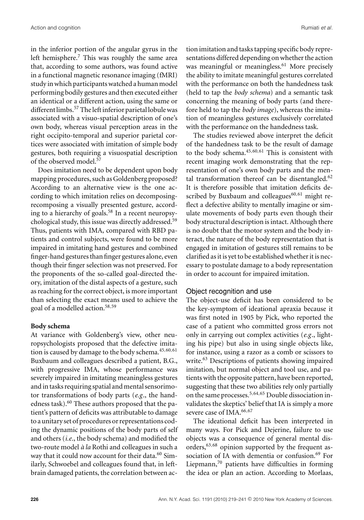in the inferior portion of the angular gyrus in the left hemisphere.<sup>7</sup> This was roughly the same area that, according to some authors, was found active in a functional magnetic resonance imaging (fMRI) study in which participants watched a human model performing bodily gestures and then executed either an identical or a different action, using the same or different limbs.<sup>57</sup> The left inferior parietal lobule was associated with a visuo-spatial description of one's own body, whereas visual perception areas in the right occipito-temporal and superior parietal cortices were associated with imitation of simple body gestures, both requiring a visuospatial description of the observed model.<sup>57</sup>

Does imitation need to be dependent upon body mapping procedures, such as Goldenberg proposed? According to an alternative view is the one according to which imitation relies on decomposingrecomposing a visually presented gesture, according to a hierarchy of goals.<sup>58</sup> In a recent neuropsychological study, this issue was directly addressed.59 Thus, patients with IMA, compared with RBD patients and control subjects, were found to be more impaired in imitating hand gestures and combined finger-hand gestures than finger gestures alone, even though their finger selection was not preserved. For the proponents of the so-called goal-directed theory, imitation of the distal aspects of a gesture, such as reaching for the correct object, is more important than selecting the exact means used to achieve the goal of a modelled action.<sup>58</sup>,<sup>59</sup>

## **Body schema**

At variance with Goldenberg's view, other neuropsychologists proposed that the defective imitation is caused by damage to the body schema.<sup>45,60,61</sup> Buxbaum and colleagues described a patient, B.G., with progressive IMA, whose performance was severely impaired in imitating meaningless gestures and in tasks requiring spatial and mental sensorimotor transformations of body parts (*e.g*., the handedness task).<sup>60</sup> These authors proposed that the patient's pattern of deficits was attributable to damage to a unitary set of procedures or representations coding the dynamic positions of the body parts of self and others (*i.e*., the body schema) and modified the two-route model *à la* Rothi and colleagues in such a way that it could now account for their data.<sup>60</sup> Similarly, Schwoebel and colleagues found that, in leftbrain damaged patients, the correlation between action imitation and tasks tapping specific body representations differed depending on whether the action was meaningful or meaningless.<sup>61</sup> More precisely the ability to imitate meaningful gestures correlated with the performance on both the handedness task (held to tap the *body schema*) and a semantic task concerning the meaning of body parts (and therefore held to tap the *body image*), whereas the imitation of meaningless gestures exclusively correlated with the performance on the handedness task.

The studies reviewed above interpret the deficit of the handedness task to be the result of damage to the body schema. $45,60,61$  This is consistent with recent imaging work demonstrating that the representation of one's own body parts and the mental transformation thereof can be disentangled. $62$ It is therefore possible that imitation deficits described by Buxbaum and colleagues $60,61$  might reflect a defective ability to mentally imagine or simulate movements of body parts even though their body structural description is intact. Although there is no doubt that the motor system and the body interact, the nature of the body representation that is engaged in imitation of gestures still remains to be clarified as it is yet to be established whether it is necessary to postulate damage to a body representation in order to account for impaired imitation.

## Object recognition and use

The object-use deficit has been considered to be the key-symptom of ideational apraxia because it was first noted in 1905 by Pick, who reported the case of a patient who committed gross errors not only in carrying out complex activities (*e.g*., lighting his pipe) but also in using single objects like, for instance, using a razor as a comb or scissors to write.<sup>63</sup> Descriptions of patients showing impaired imitation, but normal object and tool use, and patients with the opposite pattern, have been reported, suggesting that these two abilities rely only partially on the same processes.<sup>5,64,65</sup> Double dissociation invalidates the skeptics' belief that IA is simply a more severe case of IMA.<sup>66,67</sup>

The ideational deficit has been interpreted in many ways. For Pick and Dejerine, failure to use objects was a consequence of general mental disorders,<sup>63</sup>,<sup>68</sup> opinion supported by the frequent association of IA with dementia or confusion.<sup>69</sup> For Liepmann, $70$  patients have difficulties in forming the idea or plan an action. According to Morlaas,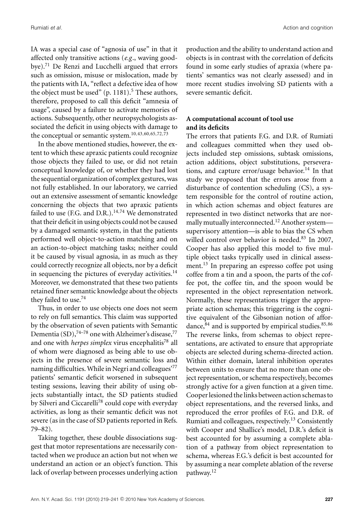IA was a special case of "agnosia of use" in that it affected only transitive actions (*e.g*., waving goodbye).<sup>71</sup> De Renzi and Lucchelli argued that errors such as omission, misuse or mislocation, made by the patients with IA, "reflect a defective idea of how the object must be used"  $(p. 1181)$ .<sup>5</sup> These authors, therefore, proposed to call this deficit "amnesia of usage", caused by a failure to activate memories of actions. Subsequently, other neuropsychologists associated the deficit in using objects with damage to the conceptual or semantic system.10,43,60,65,72,<sup>73</sup>

In the above mentioned studies, however, the extent to which these apraxic patients could recognize those objects they failed to use, or did not retain conceptual knowledge of, or whether they had lost the sequential organization of complex gestures, was not fully established. In our laboratory, we carried out an extensive assessment of semantic knowledge concerning the objects that two apraxic patients failed to use (F.G. and D.R.). $14,74$  We demonstrated that their deficit in using objects could not be caused by a damaged semantic system, in that the patients performed well object-to-action matching and on an action-to-object matching tasks; neither could it be caused by visual agnosia, in as much as they could correctly recognize all objects, nor by a deficit in sequencing the pictures of everyday activities. $14$ Moreover, we demonstrated that these two patients retained finer semantic knowledge about the objects they failed to use.<sup>74</sup>

Thus, in order to use objects one does not seem to rely on full semantics. This claim was supported by the observation of seven patients with Semantic Dementia (SD),<sup>74-78</sup> one with Alzheimer's disease,<sup>77</sup> and one with *herpes simplex* virus encephalitis<sup>78</sup> all of whom were diagnosed as being able to use objects in the presence of severe semantic loss and naming difficulties. While in Negri and colleagues<sup>77</sup> patients' semantic deficit worsened in subsequent testing sessions, leaving their ability of using objects substantially intact, the SD patients studied by Silveri and Ciccarelli<sup>78</sup> could cope with everyday activities, as long as their semantic deficit was not severe (as in the case of SD patients reported in Refs. 79–82).

Taking together, these double dissociations suggest that motor representations are necessarily contacted when we produce an action but not when we understand an action or an object's function. This lack of overlap between processes underlying action production and the ability to understand action and objects is in contrast with the correlation of deficits found in some early studies of apraxia (where patients' semantics was not clearly assessed) and in more recent studies involving SD patients with a severe semantic deficit.

## **A computational account of tool use and its deficits**

The errors that patients F.G. and D.R. of Rumiati and colleagues committed when they used objects included step omissions, subtask omissions, action additions, object substitutions, perseverations, and capture error/usage behavior.<sup>14</sup> In that study we proposed that the errors arose from a disturbance of contention scheduling (CS), a system responsible for the control of routine action, in which action schemas and object features are represented in two distinct networks that are normally mutually interconnected.<sup>12</sup> Another system supervisory attention—is able to bias the CS when willed control over behavior is needed.<sup>83</sup> In 2007, Cooper has also applied this model to five multiple object tasks typically used in clinical assessment.<sup>13</sup> In preparing an espresso coffee pot using coffee from a tin and a spoon, the parts of the coffee pot, the coffee tin, and the spoon would be represented in the object representation network. Normally, these representations trigger the appropriate action schemas; this triggering is the cognitive equivalent of the Gibsonian notion of affordance, $84$  and is supported by empirical studies.  $85,86$ The reverse links, from schemas to object representations, are activated to ensure that appropriate objects are selected during schema-directed action. Within either domain, lateral inhibition operates between units to ensure that no more than one object representation, or schema respectively, becomes strongly active for a given function at a given time. Cooper lesioned the links between action schemas to object representations, and the reversed links, and reproduced the error profiles of F.G. and D.R. of Rumiati and colleagues, respectively.<sup>13</sup> Consistently with Cooper and Shallice's model, D.R.'s deficit is best accounted for by assuming a complete ablation of a pathway from object representation to schema, whereas F.G.'s deficit is best accounted for by assuming a near complete ablation of the reverse pathway.<sup>12</sup>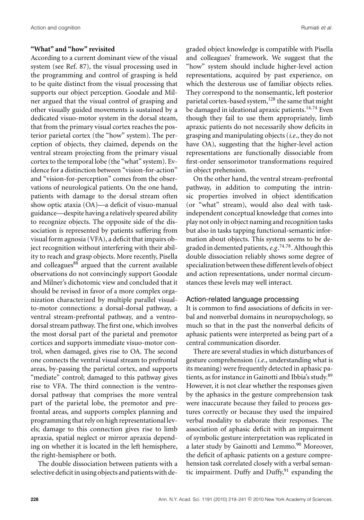## **"What" and "how" revisited**

According to a current dominant view of the visual system (see Ref. 87), the visual processing used in the programming and control of grasping is held to be quite distinct from the visual processing that supports our object perception. Goodale and Milner argued that the visual control of grasping and other visually guided movements is sustained by a dedicated visuo-motor system in the dorsal steam, that from the primary visual cortex reaches the posterior parietal cortex (the "how" system). The perception of objects, they claimed, depends on the ventral stream projecting from the primary visual cortex to the temporal lobe (the "what" system). Evidence for a distinction between "vision-for-action" and "vision-for-perception" comes from the observations of neurological patients. On the one hand, patients with damage to the dorsal stream often show optic ataxia (OA)—a deficit of visuo-manual guidance—despite having a relatively speared ability to recognize objects. The opposite side of the dissociation is represented by patients suffering from visual form agnosia (VFA), a deficit that impairs object recognition without interfering with their ability to reach and grasp objects. More recently, Pisella and colleagues<sup>88</sup> argued that the current available observations do not convincingly support Goodale and Milner's dichotomic view and concluded that it should be revised in favor of a more complex organization characterized by multiple parallel visualto-motor connections: a dorsal-dorsal pathway, a ventral stream-prefrontal pathway, and a ventrodorsal stream pathway. The first one, which involves the most dorsal part of the parietal and premotor cortices and supports immediate visuo-motor control, when damaged, gives rise to OA. The second one connects the ventral visual stream to prefrontal areas, by-passing the parietal cortex, and supports "mediate" control; damaged to this pathway gives rise to VFA. The third connection is the ventrodorsal pathway that comprises the more ventral part of the parietal lobe, the premotor and prefrontal areas, and supports complex planning and programming that rely on high representational levels; damage to this connection gives rise to limb apraxia, spatial neglect or mirror apraxia depending on whether it is located in the left hemisphere, the right-hemisphere or both.

The double dissociation between patients with a selective deficit in using objects and patients with degraded object knowledge is compatible with Pisella and colleagues' framework. We suggest that the "how" system should include higher-level action representations, acquired by past experience, on which the dexterous use of familiar objects relies. They correspond to the nonsemantic, left posterior parietal cortex-based system,  $128$  the same that might be damaged in ideational apraxic patients.<sup>14,74</sup> Even though they fail to use them appropriately, limb apraxic patients do not necessarily show deficits in grasping and manipulating objects (*i.e*., they do not have OA), suggesting that the higher-level action representations are functionally dissociable from first-order sensorimotor transformations required in object prehension.

On the other hand, the ventral stream-prefrontal pathway, in addition to computing the intrinsic properties involved in object identification (or "what" stream), would also deal with taskindependent conceptual knowledge that comes into play not only in object naming and recognition tasks but also in tasks tapping functional-semantic information about objects. This system seems to be degraded in demented patients,*e.g*. <sup>74</sup>,78. Although this double dissociation reliably shows some degree of specialization between these different levels of object and action representations, under normal circumstances these levels may well interact.

## Action-related language processing

It is common to find associations of deficits in verbal and nonverbal domains in neuropsychology, so much so that in the past the nonverbal deficits of aphasic patients were interpreted as being part of a central communication disorder.

There are several studies in which disturbances of gesture comprehension (*i.e*., understanding what is its meaning) were frequently detected in aphasic patients, as for instance in Gainotti and Ibbia's study.89 However, it is not clear whether the responses given by the aphasics in the gesture comprehension task were inaccurate because they failed to process gestures correctly or because they used the impaired verbal modality to elaborate their responses. The association of aphasic deficit with an impairment of symbolic gesture interpretation was replicated in a later study by Gainotti and Lemmo.<sup>90</sup> Moreover, the deficit of aphasic patients on a gesture comprehension task correlated closely with a verbal semantic impairment. Duffy and Duffy, $91$  expanding the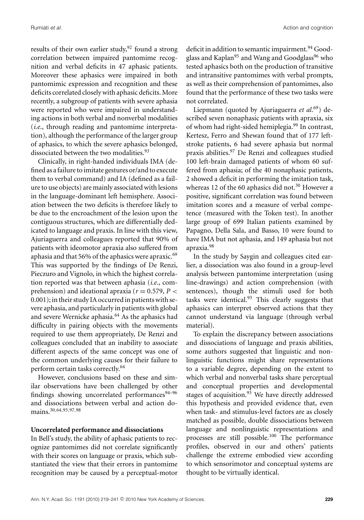results of their own earlier study,<sup>92</sup> found a strong correlation between impaired pantomime recognition and verbal deficits in 47 aphasic patients. Moreover these aphasics were impaired in both pantomimic expression and recognition and these deficits correlated closely with aphasic deficits. More recently, a subgroup of patients with severe aphasia were reported who were impaired in understanding actions in both verbal and nonverbal modalities (*i.e*., through reading and pantomime interpretation), although the performance of the larger group of aphasics, to which the severe aphasics belonged, dissociated between the two modalities.<sup>93</sup>

Clinically, in right-handed individuals IMA (defined as a failure to imitate gestures or/and to execute them to verbal command) and IA (defined as a failure to use objects) are mainly associated with lesions in the language-dominant left hemisphere. Association between the two deficits is therefore likely to be due to the encroachment of the lesion upon the contiguous structures, which are differentially dedicated to language and praxis. In line with this view, Ajuriaguerra and colleagues reported that 90% of patients with ideomotor apraxia also suffered from aphasia and that 56% of the aphasics were apraxic.<sup>69</sup> This was supported by the findings of De Renzi, Pieczuro and Vignolo, in which the highest correlation reported was that between aphasia (*i.e*., comprehension) and ideational apraxia ( $r = 0.579$ ,  $P <$ 0.001); in their study IA occurred in patients with severe aphasia, and particularly in patients with global and severe Wernicke aphasia.<sup>64</sup> As the aphasics had difficulty in pairing objects with the movements required to use them appropriately, De Renzi and colleagues concluded that an inability to associate different aspects of the same concept was one of the common underlying causes for their failure to perform certain tasks correctly.<sup>64</sup>

However, conclusions based on these and similar observations have been challenged by other findings showing uncorrelated performances $94-96$ and dissociations between verbal and action domains.<sup>30</sup>,64,93,97,<sup>98</sup>

#### **Uncorrelated performance and dissociations**

In Bell's study, the ability of aphasic patients to recognize pantomimes did not correlate significantly with their scores on language or praxis, which substantiated the view that their errors in pantomime recognition may be caused by a perceptual-motor deficit in addition to semantic impairment.<sup>94</sup> Goodglass and Kaplan<sup>95</sup> and Wang and Goodglass<sup>96</sup> who tested aphasics both on the production of transitive and intransitive pantomimes with verbal prompts, as well as their comprehension of pantomimes, also found that the performance of these two tasks were not correlated.

Liepmann (quoted by Ajuriaguerra *et al*. 69) described seven nonaphasic patients with apraxia, six of whom had right-sided hemiplegia.99 In contrast, Kertesz, Ferro and Shewan found that of 177 leftstroke patients, 6 had severe aphasia but normal praxis abilities.<sup>97</sup> De Renzi and colleagues studied 100 left-brain damaged patients of whom 60 suffered from aphasia; of the 40 nonaphasic patients, 2 showed a deficit in performing the imitation task, whereas 12 of the 60 aphasics did not. $30$  However a positive, significant correlation was found between imitation scores and a measure of verbal competence (measured with the Token test). In another large group of 699 Italian patients examined by Papagno, Della Sala, and Basso, 10 were found to have IMA but not aphasia, and 149 aphasia but not apraxia.98

In the study by Saygin and colleagues cited earlier, a dissociation was also found in a group-level analysis between pantomime interpretation (using line-drawings) and action comprehension (with sentences), though the stimuli used for both tasks were identical. $93$  This clearly suggests that aphasics can interpret observed actions that they cannot understand via language (through verbal material).

To explain the discrepancy between associations and dissociations of language and praxis abilities, some authors suggested that linguistic and nonlinguistic functions might share representations to a variable degree, depending on the extent to which verbal and nonverbal tasks share perceptual and conceptual properties and developmental stages of acquisition.<sup>93</sup> We have directly addressed this hypothesis and provided evidence that, even when task- and stimulus-level factors are as closely matched as possible, double dissociations between language and nonlinguistic representations and processes are still possible.<sup>100</sup> The performance profiles, observed in our and others' patients challenge the extreme embodied view according to which sensorimotor and conceptual systems are thought to be virtually identical.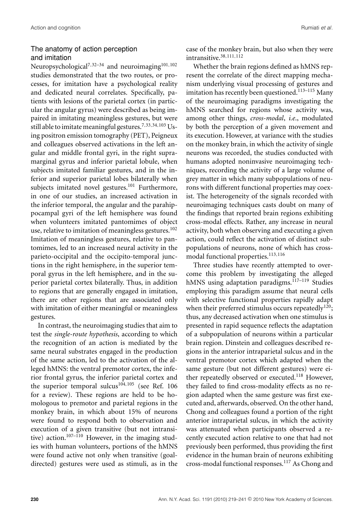# The anatomy of action perception and imitation

Neuropsychological<sup>7,32–34</sup> and neuroimaging<sup>101,102</sup> studies demonstrated that the two routes, or processes, for imitation have a psychological reality and dedicated neural correlates. Specifically, patients with lesions of the parietal cortex (in particular the angular gyrus) were described as being impaired in imitating meaningless gestures, but were still able to imitate meaningful gestures.<sup>7,33,34,103</sup> Using positron emission tomography (PET), Peigneux and colleagues observed activations in the left angular and middle frontal gyri, in the right supramarginal gyrus and inferior parietal lobule, when subjects imitated familiar gestures, and in the inferior and superior parietal lobes bilaterally when subjects imitated novel gestures.<sup>101</sup> Furthermore, in one of our studies, an increased activation in the inferior temporal, the angular and the parahippocampal gyri of the left hemisphere was found when volunteers imitated pantomimes of object use, relative to imitation of meaningless gestures.<sup>102</sup> Imitation of meaningless gestures, relative to pantomimes, led to an increased neural activity in the parieto-occipital and the occipito-temporal junctions in the right hemisphere, in the superior temporal gyrus in the left hemisphere, and in the superior parietal cortex bilaterally. Thus, in addition to regions that are generally engaged in imitation, there are other regions that are associated only with imitation of either meaningful or meaningless gestures.

In contrast, the neuroimaging studies that aim to test the *single-route hypothesis*, according to which the recognition of an action is mediated by the same neural substrates engaged in the production of the same action, led to the activation of the alleged hMNS: the ventral premotor cortex, the inferior frontal gyrus, the inferior parietal cortex and the superior temporal sulcus<sup>104,105</sup> (see Ref. 106 for a review). These regions are held to be homologous to premotor and parietal regions in the monkey brain, in which about 15% of neurons were found to respond both to observation and execution of a given transitive (but not intransitive) action.<sup>107–110</sup> However, in the imaging studies with human volunteers, portions of the hMNS were found active not only when transitive (goaldirected) gestures were used as stimuli, as in the case of the monkey brain, but also when they were intransitive.38,111,<sup>112</sup>

Whether the brain regions defined as hMNS represent the correlate of the direct mapping mechanism underlying visual processing of gestures and imitation has recently been questioned.<sup>113–115</sup> Many of the neuroimaging paradigms investigating the hMNS searched for regions whose activity was, among other things, *cross-modal*, *i.e*., modulated by both the perception of a given movement and its execution. However, at variance with the studies on the monkey brain, in which the activity of single neurons was recorded, the studies conducted with humans adopted noninvasive neuroimaging techniques, recording the activity of a large volume of grey matter in which many subpopulations of neurons with different functional properties may coexist. The heterogeneity of the signals recorded with neuroimaging techniques casts doubt on many of the findings that reported brain regions exhibiting cross-modal effects. Rather, any increase in neural activity, both when observing and executing a given action, could reflect the activation of distinct subpopulations of neurons, none of which has crossmodal functional properties.<sup>113,116</sup>

Three studies have recently attempted to overcome this problem by investigating the alleged hMNS using adaptation paradigms.<sup>117-119</sup> Studies employing this paradigm assume that neural cells with selective functional properties rapidly adapt when their preferred stimulus occurs repeatedly<sup>120</sup>; thus, any decreased activation when one stimulus is presented in rapid sequence reflects the adaptation of a subpopulation of neurons within a particular brain region. Dinstein and colleagues described regions in the anterior intraparietal sulcus and in the ventral premotor cortex which adapted when the same gesture (but not different gestures) were either repeatedly observed or executed.<sup>118</sup> However, they failed to find cross-modality effects as no region adapted when the same gesture was first executed and, afterwards, observed. On the other hand, Chong and colleagues found a portion of the right anterior intraparietal sulcus, in which the activity was attenuated when participants observed a recently executed action relative to one that had not previously been performed, thus providing the first evidence in the human brain of neurons exhibiting cross-modal functional responses.<sup>117</sup> As Chong and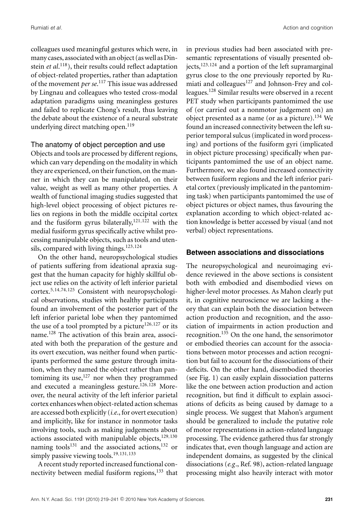colleagues used meaningful gestures which were, in many cases, associated with an object (as well as Dinstein *et al*. 118), their results could reflect adaptation of object-related properties, rather than adaptation of the movement *per se*. <sup>117</sup> This issue was addressed by Lingnau and colleagues who tested cross-modal adaptation paradigms using meaningless gestures and failed to replicate Chong's result, thus leaving the debate about the existence of a neural substrate underlying direct matching open.<sup>119</sup>

#### The anatomy of object perception and use

Objects and tools are processed by different regions, which can vary depending on the modality in which they are experienced, on their function, on the manner in which they can be manipulated, on their value, weight as well as many other properties. A wealth of functional imaging studies suggested that high-level object processing of object pictures relies on regions in both the middle occipital cortex and the fusiform gyrus bilaterally, $121,122$  with the medial fusiform gyrus specifically active whilst processing manipulable objects, such as tools and utensils, compared with living things. $123,124$ 

On the other hand, neuropsychological studies of patients suffering from ideational apraxia suggest that the human capacity for highly skillful object use relies on the activity of left inferior parietal cortex.<sup>5</sup>,14,74,<sup>125</sup> Consistent with neuropsychological observations, studies with healthy participants found an involvement of the posterior part of the left inferior parietal lobe when they pantomimed the use of a tool prompted by a picture<sup>126,127</sup> or its name.<sup>128</sup> The activation of this brain area, associated with both the preparation of the gesture and its overt execution, was neither found when participants performed the same gesture through imitation, when they named the object rather than pantomiming its use,<sup>127</sup> nor when they programmed and executed a meaningless gesture.<sup>126,128</sup> Moreover, the neural activity of the left inferior parietal cortex enhances when object-related action schemas are accessed both explicitly (*i.e*., for overt execution) and implicitly, like for instance in nonmotor tasks involving tools, such as making judgements about actions associated with manipulable objects, $129,130$ naming tools $^{131}$  and the associated actions, $^{132}$  or simply passive viewing tools.<sup>19,131,133</sup>

A recent study reported increased functional connectivity between medial fusiform regions, $133$  that in previous studies had been associated with presemantic representations of visually presented objects, $123,124$  and a portion of the left supramarginal gyrus close to the one previously reported by Rumiati and colleagues $^{127}$  and Johnson-Frey and colleagues.<sup>128</sup> Similar results were observed in a recent PET study when participants pantomimed the use of (or carried out a nonmotor judgement on) an object presented as a name (or as a picture). $134$  We found an increased connectivity between the left superior temporal sulcus (implicated in word processing) and portions of the fusiform gyri (implicated in object picture processing) specifically when participants pantomimed the use of an object name. Furthermore, we also found increased connectivity between fusiform regions and the left inferior parietal cortex (previously implicated in the pantomiming task) when participants pantomimed the use of object pictures or object names, thus favouring the explanation according to which object-related action knowledge is better accessed by visual (and not verbal) object representations.

#### **Between associations and dissociations**

The neuropsychological and neuroimaging evidence reviewed in the above sections is consistent both with embodied and disembodied views on higher-level motor processes. As Mahon clearly put it, in cognitive neuroscience we are lacking a theory that can explain both the dissociation between action production and recognition, and the association of impairments in action production and recognition.<sup>135</sup> On the one hand, the sensorimotor or embodied theories can account for the associations between motor processes and action recognition but fail to account for the dissociations of their deficits. On the other hand, disembodied theories (see Fig. 1) can easily explain dissociation patterns like the one between action production and action recognition, but find it difficult to explain associations of deficits as being caused by damage to a single process. We suggest that Mahon's argument should be generalized to include the putative role of motor representations in action-related language processing. The evidence gathered thus far strongly indicates that, even though language and action are independent domains, as suggested by the clinical dissociations (*e.g*., Ref. 98), action-related language processing might also heavily interact with motor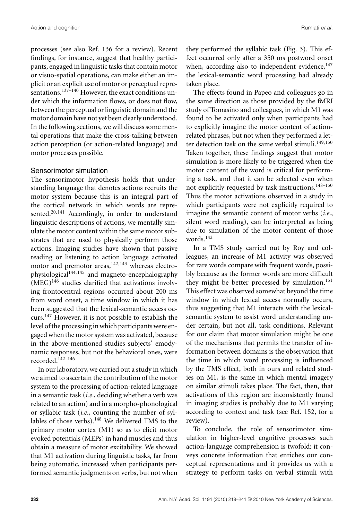processes (see also Ref. 136 for a review). Recent findings, for instance, suggest that healthy participants, engaged in linguistic tasks that contain motor or visuo-spatial operations, can make either an implicit or an explicit use of motor or perceptual representations. $137-140$  However, the exact conditions under which the information flows, or does not flow, between the perceptual or linguistic domain and the motor domain have not yet been clearly understood. In the following sections, we will discuss some mental operations that make the cross-talking between action perception (or action-related language) and motor processes possible.

## Sensorimotor simulation

The sensorimotor hypothesis holds that understanding language that denotes actions recruits the motor system because this is an integral part of the cortical network in which words are represented.<sup>20,141</sup> Accordingly, in order to understand linguistic descriptions of actions, we mentally simulate the motor content within the same motor substrates that are used to physically perform those actions. Imaging studies have shown that passive reading or listening to action language activated motor and premotor areas, $142,143$  whereas electrophysiological<sup>144</sup>,<sup>145</sup> and magneto-encephalography  $(MEG)^{146}$  studies clarified that activations involving frontocentral regions occurred about 200 ms from word onset, a time window in which it has been suggested that the lexical-semantic access occurs.<sup>147</sup> However, it is not possible to establish the level of the processing in which participants were engaged when the motor system was activated, because in the above-mentioned studies subjects' emodynamic responses, but not the behavioral ones, were recorded.<sup>142-146</sup>

In our laboratory, we carried out a study in which we aimed to ascertain the contribution of the motor system to the processing of action-related language in a semantic task (*i.e*., deciding whether a verb was related to an action) and in a morpho-phonological or syllabic task (*i.e*., counting the number of syllables of those verbs).<sup>148</sup> We delivered TMS to the primary motor cortex (M1) so as to elicit motor evoked potentials (MEPs) in hand muscles and thus obtain a measure of motor excitability. We showed that M1 activation during linguistic tasks, far from being automatic, increased when participants performed semantic judgments on verbs, but not when they performed the syllabic task (Fig. 3). This effect occurred only after a 350 ms postword onset when, according also to independent evidence, $147$ the lexical-semantic word processing had already taken place.

The effects found in Papeo and colleagues go in the same direction as those provided by the fMRI study of Tomasino and colleagues, in which M1 was found to be activated only when participants had to explicitly imagine the motor content of actionrelated phrases, but not when they performed a letter detection task on the same verbal stimuli.<sup>149,150</sup> Taken together, these findings suggest that motor simulation is more likely to be triggered when the motor content of the word is critical for performing a task, and that it can be selected even when not explicitly requested by task instructions.<sup>148-150</sup> Thus the motor activations observed in a study in which participants were not explicitly required to imagine the semantic content of motor verbs (*i.e*., silent word reading), can be interpreted as being due to simulation of the motor content of those words.<sup>142</sup>

In a TMS study carried out by Roy and colleagues, an increase of M1 activity was observed for rare words compare with frequent words, possibly because as the former words are more difficult they might be better processed by simulation.<sup>151</sup> This effect was observed somewhat beyond the time window in which lexical access normally occurs, thus suggesting that M1 interacts with the lexicalsemantic system to assist word understanding under certain, but not all, task conditions. Relevant for our claim that motor simulation might be one of the mechanisms that permits the transfer of information between domains is the observation that the time in which word processing is influenced by the TMS effect, both in ours and related studies on M1, is the same in which mental imagery on similar stimuli takes place. The fact, then, that activations of this region are inconsistently found in imaging studies is probably due to M1 varying according to context and task (see Ref. 152, for a review).

To conclude, the role of sensorimotor simulation in higher-level cognitive processes such action-language comprehension is twofold: it conveys concrete information that enriches our conceptual representations and it provides us with a strategy to perform tasks on verbal stimuli with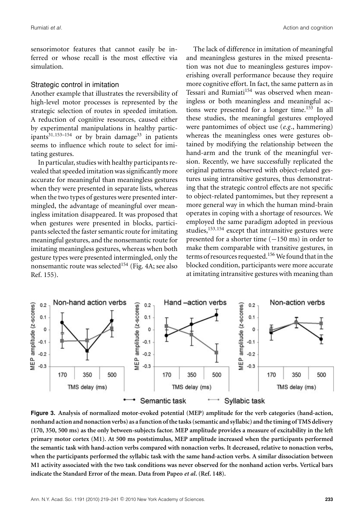sensorimotor features that cannot easily be inferred or whose recall is the most effective via simulation.

#### Strategic control in imitation

Another example that illustrates the reversibility of high-level motor processes is represented by the strategic selection of routes in speeded imitation. A reduction of cognitive resources, caused either by experimental manipulations in healthy participants $31,153-154$  or by brain damage<sup>33</sup> in patients seems to influence which route to select for imitating gestures.

In particular, studies with healthy participants revealed that speeded imitation was significantly more accurate for meaningful than meaningless gestures when they were presented in separate lists, whereas when the two types of gestures were presented intermingled, the advantage of meaningful over meaningless imitation disappeared. It was proposed that when gestures were presented in blocks, participants selected the faster semantic route for imitating meaningful gestures, and the nonsemantic route for imitating meaningless gestures, whereas when both gesture types were presented intermingled, only the nonsemantic route was selected<sup>154</sup> (Fig. 4A; see also Ref. 155).

The lack of difference in imitation of meaningful and meaningless gestures in the mixed presentation was not due to meaningless gestures impoverishing overall performance because they require more cognitive effort. In fact, the same pattern as in Tessari and Rumiati<sup>154</sup> was observed when meaningless or both meaningless and meaningful actions were presented for a longer time.<sup>153</sup> In all these studies, the meaningful gestures employed were pantomimes of object use (*e.g*., hammering) whereas the meaningless ones were gestures obtained by modifying the relationship between the hand-arm and the trunk of the meaningful version. Recently, we have successfully replicated the original patterns observed with object-related gestures using intransitive gestures, thus demonstrating that the strategic control effects are not specific to object-related pantomimes, but they represent a more general way in which the human mind-brain operates in coping with a shortage of resources. We employed the same paradigm adopted in previous studies,<sup>153</sup>,<sup>154</sup> except that intransitive gestures were presented for a shorter time (−150 ms) in order to make them comparable with transitive gestures, in terms of resources requested.<sup>156</sup> We found that in the blocked condition, participants were more accurate at imitating intransitive gestures with meaning than



**Figure 3. Analysis of normalized motor-evoked potential (MEP) amplitude for the verb categories (hand-action, nonhand action and nonaction verbs) as a function of the tasks (semantic and syllabic) and the timing of TMS delivery (170, 350, 500 ms) as the only between-subjects factor. MEP amplitude provides a measure of excitability in the left primary motor cortex (M1). At 500 ms poststimulus, MEP amplitude increased when the participants performed the semantic task with hand-action verbs compared with nonaction verbs. It decreased, relative to nonaction verbs, when the participants performed the syllabic task with the same hand-action verbs. A similar dissociation between M1 activity associated with the two task conditions was never observed for the nonhand action verbs. Vertical bars indicate the Standard Error of the mean. Data from Papeo** *et al***. (Ref. 148).**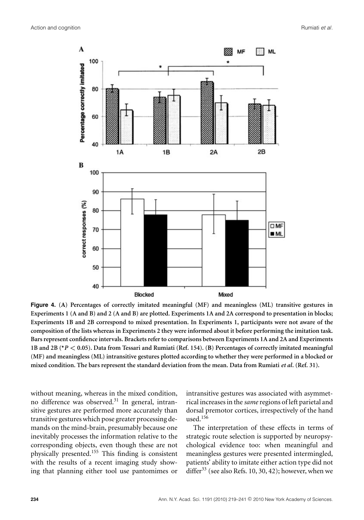

**Figure 4. (A) Percentages of correctly imitated meaningful (MF) and meaningless (ML) transitive gestures in Experiments 1 (A and B) and 2 (A and B) are plotted. Experiments 1A and 2A correspond to presentation in blocks; Experiments 1B and 2B correspond to mixed presentation. In Experiments 1, participants were not aware of the composition of the lists whereas in Experiments 2 they were informed about it before performing the imitation task. Bars represent confidence intervals. Brackets refer to comparisons between Experiments 1A and 2A and Experiments 1B and 2B (∗***P <* **0.05). Data from Tessari and Rumiati (Ref. 154). (B) Percentages of correctly imitated meaningful (MF) and meaningless (ML) intransitive gestures plotted according to whether they were performed in a blocked or mixed condition. The bars represent the standard deviation from the mean. Data from Rumiati** *et al***. (Ref. 31).**

without meaning, whereas in the mixed condition, no difference was observed.<sup>31</sup> In general, intransitive gestures are performed more accurately than transitive gestures which pose greater processing demands on the mind-brain, presumably because one inevitably processes the information relative to the corresponding objects, even though these are not physically presented.<sup>155</sup> This finding is consistent with the results of a recent imaging study showing that planning either tool use pantomimes or intransitive gestures was associated with asymmetrical increases in the *same* regions of left parietal and dorsal premotor cortices, irrespectively of the hand used.<sup>156</sup>

The interpretation of these effects in terms of strategic route selection is supported by neuropsychological evidence too: when meaningful and meaningless gestures were presented intermingled, patients' ability to imitate either action type did not differ<sup>33</sup> (see also Refs. 10, 30, 42); however, when we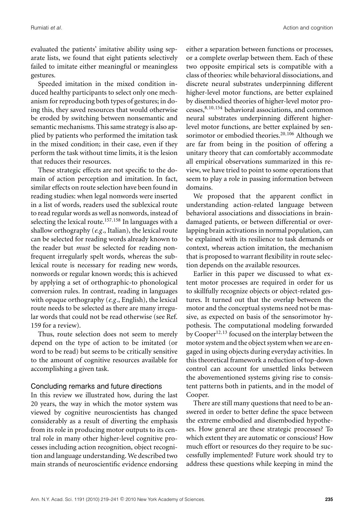evaluated the patients' imitative ability using separate lists, we found that eight patients selectively failed to imitate either meaningful or meaningless gestures.

Speeded imitation in the mixed condition induced healthy participants to select only one mechanism for reproducing both types of gestures; in doing this, they saved resources that would otherwise be eroded by switching between nonsemantic and semantic mechanisms. This same strategy is also applied by patients who performed the imitation task in the mixed condition; in their case, even if they perform the task without time limits, it is the lesion that reduces their resources.

These strategic effects are not specific to the domain of action perception and imitation. In fact, similar effects on route selection have been found in reading studies: when legal nonwords were inserted in a list of words, readers used the sublexical route to read regular words as well as nonwords, instead of selecting the lexical route.<sup>157,158</sup> In languages with a shallow orthography (*e.g*., Italian), the lexical route can be selected for reading words already known to the reader but *must* be selected for reading nonfrequent irregularly spelt words, whereas the sublexical route is necessary for reading new words, nonwords or regular known words; this is achieved by applying a set of orthographic-to phonological conversion rules. In contrast, reading in languages with opaque orthography (*e.g*., English), the lexical route needs to be selected as there are many irregular words that could not be read otherwise (see Ref. 159 for a review).

Thus, route selection does not seem to merely depend on the type of action to be imitated (or word to be read) but seems to be critically sensitive to the amount of cognitive resources available for accomplishing a given task.

#### Concluding remarks and future directions

In this review we illustrated how, during the last 20 years, the way in which the motor system was viewed by cognitive neuroscientists has changed considerably as a result of diverting the emphasis from its role in producing motor outputs to its central role in many other higher-level cognitive processes including action recognition, object recognition and language understanding. We described two main strands of neuroscientific evidence endorsing either a separation between functions or processes, or a complete overlap between them. Each of these two opposite empirical sets is compatible with a class of theories: while behavioral dissociations, and discrete neural substrates underpinning different higher-level motor functions, are better explained by disembodied theories of higher-level motor processes, 8,10,154 behavioral associations, and common neural substrates underpinning different higherlevel motor functions, are better explained by sensorimotor or embodied theories.<sup>20,106</sup> Although we are far from being in the position of offering a unitary theory that can comfortably accommodate all empirical observations summarized in this review, we have tried to point to some operations that seem to play a role in passing information between domains.

We proposed that the apparent conflict in understanding action-related language between behavioral associations and dissociations in braindamaged patients, or between differential or overlapping brain activations in normal population, can be explained with its resilience to task demands or context, whereas action imitation, the mechanism that is proposed to warrant flexibility in route selection depends on the available resources.

Earlier in this paper we discussed to what extent motor processes are required in order for us to skillfully recognize objects or object-related gestures. It turned out that the overlap between the motor and the conceptual systems need not be massive, as expected on basis of the sensorimotor hypothesis. The computational modeling forwarded by Cooper<sup>12,13</sup> focused on the interplay between the motor system and the object system when we are engaged in using objects during everyday activities. In this theoretical framework a reduction of top-down control can account for unsettled links between the abovementioned systems giving rise to consistent patterns both in patients, and in the model of Cooper.

There are still many questions that need to be answered in order to better define the space between the extreme embodied and disembodied hypotheses. How general are these strategic processes? To which extent they are automatic or conscious? How much effort or resources do they require to be successfully implemented? Future work should try to address these questions while keeping in mind the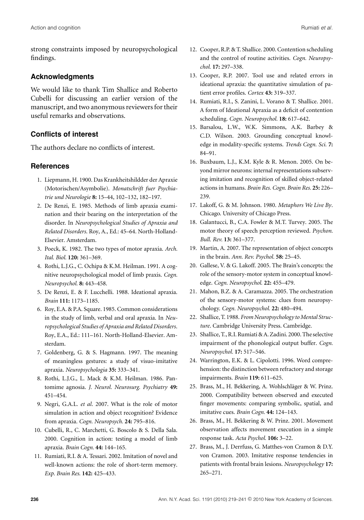strong constraints imposed by neuropsychological findings.

## **Acknowledgments**

We would like to thank Tim Shallice and Roberto Cubelli for discussing an earlier version of the manuscript, and two anonymous reviewers for their useful remarks and observations.

## **Conflicts of interest**

The authors declare no conflicts of interest.

## **References**

- 1. Liepmann, H. 1900. Das Krankheitshildder der Apraxie (Motorischen/Asymbolie). *Monatschrift fuer Psychiatrie und Neurologie* **8:** 15–44, 102–132, 182–197.
- 2. De Renzi, E. 1985. Methods of limb apraxia examination and their bearing on the interpretation of the disorder. In *Neuropsychological Studies of Apraxia and Related Disorders*. Roy, A., Ed.: 45–64. North-Holland-Elsevier. Amsterdam.
- 3. Poeck, K. 1982. The two types of motor apraxia. *Arch. Ital. Biol.* **120:** 361–369.
- 4. Rothi, L.J.G., C. Ochipa & K.M. Heilman. 1991. A cognitive neuropsychological model of limb praxis. *Cogn. Neuropsychol.* **8:** 443–458.
- 5. De Renzi, E. & F. Lucchelli. 1988. Ideational apraxia. *Brain* **111:** 1173–1185.
- 6. Roy, E.A. & P.A. Square. 1985. Common considerations in the study of limb, verbal and oral apraxia. In *Neuropsychological Studies of Apraxia and Related Disorders*. Roy, E.A., Ed.: 111–161. North-Holland-Elsevier. Amsterdam.
- 7. Goldenberg, G. & S. Hagmann. 1997. The meaning of meaningless gestures: a study of visuo-imitative apraxia. *Neuropsychologia* **35:** 333–341.
- 8. Rothi, L.J.G., L. Mack & K.M. Heilman. 1986. Pantomime agnosia. *J. Neurol. Neurosurg. Psychiatry* **49:** 451–454.
- 9. Negri, G.A.L. *et al*. 2007. What is the role of motor simulation in action and object recognition? Evidence from apraxia. *Cogn. Neuropsych.* **24:** 795–816.
- 10. Cubelli, R., C. Marchetti, G. Boscolo & S. Della Sala. 2000. Cognition in action: testing a model of limb apraxia. *Brain Cogn.* **44:** 144–165.
- 11. Rumiati, R.I. & A. Tessari. 2002. Imitation of novel and well-known actions: the role of short-term memory. *Exp. Brain Res.* **142:** 425–433.
- 12. Cooper, R.P. & T. Shallice. 2000. Contention scheduling and the control of routine activities. *Cogn. Neuropsychol.* **17:** 297–338.
- 13. Cooper, R.P. 2007. Tool use and related errors in ideational apraxia: the quantitative simulation of patient error profiles. *Cortex* **43:** 319–337.
- 14. Rumiati, R.I., S. Zanini, L. Vorano & T. Shallice. 2001. A form of Ideational Apraxia as a deficit of contention scheduling. *Cogn. Neuropsychol.* **18:** 617–642.
- 15. Barsalou, L.W., W.K. Simmons, A.K. Barbey & C.D. Wilson. 2003. Grounding conceptual knowledge in modality-specific systems. *Trends Cogn. Sci.* **7:** 84–91.
- 16. Buxbaum, L.J., K.M. Kyle & R. Menon. 2005. On beyond mirror neurons: internal representations subserving imitation and recognition of skilled object-related actions in humans. *Brain Res. Cogn. Brain Res.* **25:** 226– 239.
- 17. Lakoff, G. & M. Johnson. 1980. *Metaphors We Live By*. Chicago. University of Chicago Press.
- 18. Galantucci, B., C.A. Fowler & M.T. Turvey. 2005. The motor theory of speech perception reviewed. *Psychon. Bull. Rev.* **13:** 361–377.
- 19. Martin, A. 2007. The representation of object concepts in the brain. *Ann. Rev. Psychol.* **58:** 25–45.
- 20. Gallese, V. & G. Lakoff. 2005. The Brain's concepts: the role of the sensory-motor system in conceptual knowledge. *Cogn. Neuropsychol.* **22:** 455–479.
- 21. Mahon, B.Z. & A. Caramazza. 2005. The orchestration of the sensory-motor systems: clues from neuropsychology. *Cogn. Neuropsychol.* **22:** 480–494.
- 22. Shallice, T. 1988. From Neuropsychology to Mental Struc*ture*. Cambridge University Press. Cambridge.
- 23. Shallice, T., R.I. Rumiati & A. Zadini. 2000. The selective impairment of the phonological output buffer. *Cogn. Neuropsychol.* **17:** 517–546.
- 24. Warrington, E.K. & L. Cipolotti. 1996. Word comprehension: the distinction between refractory and storage impairments. *Brain* **119:** 611–625.
- 25. Brass, M., H. Bekkering, A. Wohlschläger & W. Prinz. 2000. Compatibility between observed and executed finger movements: comparing symbolic, spatial, and imitative cues. *Brain Cogn.* **44:** 124–143.
- 26. Brass, M., H. Bekkering & W. Prinz. 2001. Movement observation affects movement execution in a simple response task. *Acta Psychol.* **106:** 3–22.
- 27. Brass, M., J. Derrfuss, G. Matthes-von Cramon & D.Y. von Cramon. 2003. Imitative response tendencies in patients with frontal brain lesions. *Neuropsychology* **17:** 265–271.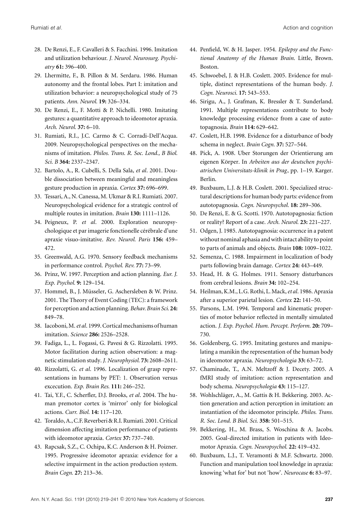- 28. De Renzi, E., F. Cavalleri & S. Facchini. 1996. Imitation and utilization behaviour. *J. Neurol. Neurosurg. Psychiatry* **61:** 396–400.
- 29. Lhermitte, F., B. Pillon & M. Serdaru. 1986. Human autonomy and the frontal lobes. Part I: imitation and utilization behavior: a neuropsychological study of 75 patients. *Ann. Neurol.* **19:** 326–334.
- 30. De Renzi, E., F. Motti & P. Nichelli. 1980. Imitating gestures: a quantitative approach to ideomotor apraxia. *Arch. Neurol.* **37:** 6–10.
- 31. Rumiati, R.I., J.C. Carmo & C. Corradi-Dell'Acqua. 2009. Neuropsychological perspectives on the mechanisms of imitation. *Philos. Trans. R. Soc. Lond., B Biol. Sci. B* **364:** 2337–2347.
- 32. Bartolo, A., R. Cubelli, S. Della Sala, *et al*. 2001. Double dissociation between meaningful and meaningless gesture production in apraxia. *Cortex* **37:** 696–699.
- 33. Tessari, A., N. Canessa, M. Ukmar & R.I. Rumiati. 2007. Neuropsychological evidence for a strategic control of multiple routes in imitation. *Brain* **130:** 1111–1126.
- 34. Peigneux, P. *et al*. 2000. Exploration neuropsychologique et par imagerie fonctionelle cérébrale d'une apraxie visuo-imitative. *Rev. Neurol. Paris* **156:** 459– 472.
- 35. Greenwald, A.G. 1970. Sensory feedback mechanisms in performance control. *Psychol. Rev.* **77:** 73–99.
- 36. Prinz, W. 1997. Perception and action planning. *Eur. J. Exp. Psychol.* **9:** 129–154.
- 37. Hommel, B., J. Müsseler, G. Aschersleben & W. Prinz. 2001. The Theory of Event Coding (TEC): a framework for perception and action planning.*Behav. Brain Sci.* **24:** 849–78.
- 38. Iacoboni, M.*et al*. 1999. Cortical mechanisms of human imitation. *Science* **286:** 2526–2528.
- 39. Fadiga, L., L. Fogassi, G. Pavesi & G. Rizzolatti. 1995. Motor facilitation during action observation: a magnetic stimulation study. *J. Neurophysiol.* **73:** 2608–2611.
- 40. Rizzolatti, G. *et al*. 1996. Localization of grasp representations in humans by PET: 1. Observation versus excecution. *Exp. Brain Res.* **111:** 246–252.
- 41. Tai, Y.F., C. Scherfler, D.J. Brooks, *et al*. 2004. The human premotor cortex is 'mirror' only for biological actions. *Curr. Biol.* **14:** 117–120.
- 42. Toraldo, A., C.F. Reverberi & R.I. Rumiati. 2001. Critical dimension affecting imitation performance of patients with ideomotor apraxia. *Cortex* **37:** 737–740.
- 43. Rapcsak, S.Z., C. Ochipa, K.C. Anderson & H. Poizner. 1995. Progressive ideomotor apraxia: evidence for a selective impairment in the action production system. *Brain Cogn.* **27:** 213–36.
- 44. Penfield, W. & H. Jasper. 1954. *Epilepsy and the Functional Anatomy of the Human Brain*. Little, Brown. Boston.
- 45. Schwoebel, J. & H.B. Coslett. 2005. Evidence for multiple, distinct representations of the human body. *J. Cogn. Neurosci.* **17:** 543–553.
- 46. Sirigu, A., J. Grafman, K. Bressler & T. Sunderland. 1991. Multiple representations contribute to body knowledge processing evidence from a case of autotopagnosia. *Brain* **114:** 629–642.
- 47. Coslett, H.B. 1998. Evidence for a disturbance of body schema in neglect. *Brain Cogn.* **37:** 527–544.
- 48. Pick, A. 1908. Uber Storungen der Orientierung am eigenen Körper. In Arbeiten aus der deutschen psychi*atrischen Universitats-klinik in Prag*, pp. 1–19. Karger. Berlin.
- 49. Buxbaum, L.J. & H.B. Coslett. 2001. Specialized structural descriptions for human body parts: evidence from autotopagnosia. *Cogn. Neuropsychol.* **18:** 289–306.
- 50. De Renzi, E. & G. Scotti. 1970. Autotopagnosia: fiction or reality? Report of a case. *Arch. Neurol.* **23:** 221–227.
- 51. Odgen, J. 1985. Autotopagnosia: occurrence in a patent without nominal aphasia and with intact ability to point to parts of animals and objects. *Brain* **108:** 1009–1022.
- 52. Semenza, C. 1988. Impairment in localization of body parts following brain damage. *Cortex* **24:** 443–449.
- 53. Head, H. & G. Holmes. 1911. Sensory disturbances from cerebral lesions. *Brain* **34:** 102–254.
- 54. Heilman, K.M., L.G. Rothi, L. Mack,*et al*. 1986. Apraxia after a superior parietal lesion. *Cortex* **22:** 141–50.
- 55. Parsons, L.M. 1994. Temporal and kinematic properties of motor behavior reflected in mentally simulated action. *J. Exp. Psychol. Hum. Percept. Perform.* **20:** 709– 730.
- 56. Goldenberg, G. 1995. Imitating gestures and manipulating a manikin the representation of the human body in ideomotor apraxia. *Neuropsychologia* **33:** 63–72.
- 57. Chaminade, T., A.N. Meltzoff & J. Decety. 2005. A fMRI study of imitation: action representation and body schema. *Neuropsychologia* **43:** 115–127.
- 58. Wohlschläger, A., M. Gattis & H. Bekkering. 2003. Action generation and action perception in imitation: an instantiation of the ideomotor principle. *Philos. Trans. R. Soc. Lond. B Biol. Sci.* **358:** 501–515.
- 59. Bekkering, H., M. Brass, S. Woschina & A. Jacobs. 2005. Goal-directed imitation in patients with Ideomotor Apraxia. *Cogn. Neuropsychol.* **22:** 419–432.
- 60. Buxbaum, L.J., T. Veramonti & M.F. Schwartz. 2000. Function and manipulation tool knowledge in apraxia: knowing 'what for' but not 'how'. *Neurocase* **6:** 83–97.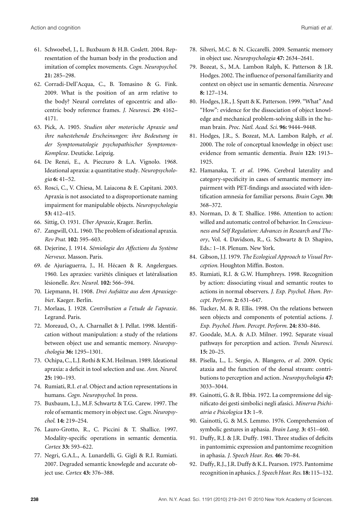- 61. Schwoebel, J., L. Buxbaum & H.B. Coslett. 2004. Representation of the human body in the production and imitation of complex movements. *Cogn. Neuropsychol.* **21:** 285–298.
- 62. Corradi-Dell'Acqua, C., B. Tomasino & G. Fink. 2009. What is the position of an arm relative to the body? Neural correlates of egocentric and allocentric body reference frames. *J. Neurosci.* **29:** 4162– 4171.
- 63. Pick, A. 1905. *Studien uber motorische Apraxie und ¨ ihre nahestehende Erscheinungen: ihre Bedeutung in der Symptomatologie psychopathischer Symptomen-Komplexe*. Deuticke. Leipzig.
- 64. De Renzi, E., A. Pieczuro & L.A. Vignolo. 1968. Ideational apraxia: a quantitative study. *Neuropsychologia* **6:** 41–52.
- 65. Rosci, C., V. Chiesa, M. Laiacona & E. Capitani. 2003. Apraxia is not associated to a disproportionate naming impairment for manipulable objects. *Neuropsychologia* **53:** 412–415.
- 66. Sittig, O. 1931. *Über Apraxie*, Krager. Berlin.
- 67. Zangwill, O.L. 1960. The problem of ideational apraxia. *Rev Prat.* **102:** 595–603.
- 68. Dejerine, J. 1914. Sémiologie des Affections du Système *Nerveux*. Masson. Paris.
- 69. de Ajuriaguerra, J., H. Hécaen & R. Angelergues. 1960. Les apraxies: variétés cliniques et latéralisation lésionelle. Rev. Neurol. 102: 566-594.
- 70. Liepmann, H. 1908. *Drei Aufsatze aus dem Apraxiege- ¨ biet*. Kaeger. Berlin.
- 71. Morlaas, J. 1928. *Contribution a l'etude de l'apraxie*. Legrand. Paris.
- 72. Moreaud, O., A. Charnallet & J. Pellat. 1998. Identification without manipulation: a study of the relations between object use and semantic memory. *Neuropsychologia* **36:** 1295–1301.
- 73. Ochipa, C., L.J. Rothi & K.M. Heilman. 1989. Ideational apraxia: a deficit in tool selection and use. *Ann. Neurol.* **25:** 190–193.
- 74. Rumiati, R.I.*et al*. Object and action representations in humans. *Cogn. Neuropsychol.* In press.
- 75. Buxbaum, L.J., M.F. Schwartz & T.G. Carew. 1997. The role of semantic memory in object use. *Cogn. Neuropsychol.* **14:** 219–254.
- 76. Lauro-Grotto, R., C. Piccini & T. Shallice. 1997. Modality-specific operations in semantic dementia. *Cortex* **33:** 593–622.
- 77. Negri, G.A.L., A. Lunardelli, G. Gigli & R.I. Rumiati. 2007. Degraded semantic knowlegde and accurate object use. *Cortex* **43:** 376–388.
- 78. Silveri, M.C. & N. Ciccarelli. 2009. Semantic memory in object use. *Neuropsychologia* **47:** 2634–2641.
- 79. Bozeat, S., M.A. Lambon Ralph, K. Patterson & J.R. Hodges. 2002. The influence of personal familiarity and context on object use in semantic dementia. *Neurocase* **8:** 127–134.
- 80. Hodges, J.R., J. Spatt & K. Patterson. 1999. "What" And "How": evidence for the dissociation of object knowledge and mechanical problem-solving skills in the human brain. *Proc. Natl. Acad. Sci.* **96:** 9444–9448.
- 81. Hodges, J.R., S. Bozeat, M.A. Lambon Ralph, *et al*. 2000. The role of conceptual knowledge in object use: evidence from semantic dementia. *Brain* **123:** 1913– 1925.
- 82. Hamanaka, T. *et al*. 1996. Cerebral laterality and category-specificity in cases of semantic memory impairment with PET-findings and associated with identification amnesia for familiar persons. *Brain Cogn.* **30:** 368–372.
- 83. Norman, D. & T. Shallice. 1986. Attention to action: willed and automatic control of behavior. In *Consciousness and Self Regulation: Advances in Research and Theory*, Vol. 4. Davidson, R., G. Schwartz & D. Shapiro, Eds.: 1–18. Plenum. New York.
- 84. Gibson, J.J. 1979. *The Ecological Approach to Visual Perception*. Houghton Miffin. Boston.
- 85. Rumiati, R.I. & G.W. Humphreys. 1998. Recognition by action: dissociating visual and semantic routes to actions in normal observers. *J. Exp. Psychol. Hum. Percept. Perform.* **2:** 631–647.
- 86. Tucker, M. & R. Ellis. 1998. On the relations between seen objects and components of potential actions. *J. Exp. Psychol. Hum. Percept. Perform.* **24:** 830–846.
- 87. Goodale, M.A. & A.D. Milner. 1992. Separate visual pathways for perception and action. *Trends Neurosci.* **15:** 20–25.
- 88. Pisella, L., L. Sergio, A. Blangero, *et al*. 2009. Optic ataxia and the function of the dorsal stream: contributions to perception and action. *Neuropsychologia* **47:** 3033–3044.
- 89. Gainotti, G. & R. Ibbia. 1972. La comprensione del significato dei gesti simbolici negli afasici. *Minerva Psichiatria e Psicologica* **13:** 1–9.
- 90. Gainotti, G. & M.S. Lemmo. 1976. Comprehension of symbolic gestures in aphasia. *Brain Lang.* **3:** 451–460.
- 91. Duffy, R.J. & J.R. Duffy. 1981. Three studies of deficits in pantomimic expression and pantomime recognition in aphasia. *J. Speech Hear. Res.* **46:** 70–84.
- 92. Duffy, R.J., J.R. Duffy & K.L. Pearson. 1975. Pantomime recognition in aphasics.*J. Speech Hear. Res.* **18:** 115–132.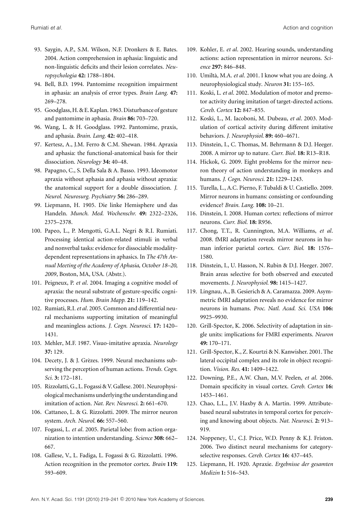- 93. Saygin, A.P., S.M. Wilson, N.F. Dronkers & E. Bates. 2004. Action comprehension in aphasia: linguistic and non-linguistic deficits and their lesion correlates. *Neuropsychologia* **42:** 1788–1804.
- 94. Bell, B.D. 1994. Pantomime recognition impairment in aphasia: an analysis of error types. *Brain Lang.* **47:** 269–278.
- 95. Goodglass, H. & E. Kaplan. 1963. Disturbance of gesture and pantomime in aphasia. *Brain* **86:** 703–720.
- 96. Wang, L. & H. Goodglass. 1992. Pantomime, praxis, and aphasia. *Brain. Lang.* **42:** 402–418.
- 97. Kertesz, A., J.M. Ferro & C.M. Shewan. 1984. Apraxia and aphasia: the functional-anatomical basis for their dissociation. *Neurology* **34:** 40–48.
- 98. Papagno, C., S. Della Sala & A. Basso. 1993. Ideomotor apraxia without aphasia and aphasia without apraxia: the anatomical support for a double dissociation. *J. Neurol. Neurosurg. Psychiatry* **56:** 286–289.
- 99. Liepmann, H. 1905. Die linke Hemisphere und das Handeln. *Munch. Med. Wochenschr.* **49:** 2322–2326, 2375–2378.
- 100. Papeo, L., P. Mengotti, G.A.L. Negri & R.I. Rumiati. Processing identical action-related stimuli in verbal and nonverbal tasks: evidence for dissociable modalitydependent representations in aphasics. In *The 47th Annual Meeting of the Academy of Aphasia, October 18–20, 2009*, Boston, MA, USA. (Abstr.).
- 101. Peigneux, P. *et al*. 2004. Imaging a cognitive model of apraxia: the neural substrate of gesture-specific cognitive processes. *Hum. Brain Mapp.* **21:** 119–142.
- 102. Rumiati, R.I.*et al*. 2005. Common and differential neural mechanisms supporting imitation of meaningful and meaningless actions. *J. Cogn. Neurosci.* **17:** 1420– 1431.
- 103. Mehler, M.F. 1987. Visuo-imitative apraxia. *Neurology* **37:** 129.
- 104. Decety, J. & J. Grèzes. 1999. Neural mechanisms subserving the perception of human actions. *Trends. Cogn. Sci.* **3:** 172–181.
- 105. Rizzolatti, G., L. Fogassi & V. Gallese. 2001. Neurophysiological mechanisms underlying the understanding and imitation of action. *Nat. Rev. Neurosci.* **2:** 661–670.
- 106. Cattaneo, L. & G. Rizzolatti. 2009. The mirror neuron system. *Arch. Neurol.* **66:** 557–560.
- 107. Fogassi, L. *et al*. 2005. Parietal lobe: from action organization to intention understanding. *Science* **308:** 662– 667.
- 108. Gallese, V., L. Fadiga, L. Fogassi & G. Rizzolatti. 1996. Action recognition in the premotor cortex. *Brain* **119:** 593–609.
- 109. Kohler, E. *et al*. 2002. Hearing sounds, understanding actions: action representation in mirror neurons. *Science* **297:** 846–848.
- 110. Umiltà, M.A. et al. 2001. I know what you are doing. A neurophysiological study. *Neuron* **31:** 155–165.
- 111. Koski, L. *et al*. 2002. Modulation of motor and premotor activity during imitation of target-directed actions. *Cereb. Cortex* **12:** 847–855.
- 112. Koski, L., M. Iacoboni, M. Dubeau, *et al*. 2003. Modulation of cortical activity during different imitative behaviors. *J. Neurophysiol.* **89:** 460–4671.
- 113. Dinstein, I., C. Thomas, M. Behrmann & D.J. Heeger. 2008. A mirror up to nature. *Curr. Biol.* **18:** R13–R18.
- 114. Hickok, G. 2009. Eight problems for the mirror neuron theory of action understanding in monkeys and humans. *J. Cogn. Neurosci.* **21:** 1229–1243.
- 115. Turella, L., A.C. Pierno, F. Tubaldi & U. Castiello. 2009. Mirror neurons in humans: consisting or confounding evidence? *Brain. Lang.* **108:** 10–21.
- 116. Dinstein, I. 2008. Human cortex: reflections of mirror neurons. *Curr. Biol.* **18:** R956.
- 117. Chong, T.T., R. Cunnington, M.A. Williams, *et al*. 2008. fMRI adaptation reveals mirror neurons in human inferior parietal cortex. *Curr. Biol.* **18:** 1576– 1580.
- 118. Dinstein, I., U. Hasson, N. Rubin & D.J. Heeger. 2007. Brain areas selective for both observed and executed movements. *J. Neurophysiol.* **98:** 1415–1427.
- 119. Lingnau, A., B. Gesierich & A. Caramazza. 2009. Asymmetric fMRI adaptation reveals no evidence for mirror neurons in humans. *Proc. Natl. Acad. Sci. USA* **106:** 9925–9930.
- 120. Grill-Spector, K. 2006. Selectivity of adaptation in single units: implications for FMRI experiments. *Neuron* **49:** 170–171.
- 121. Grill-Spector, K., Z. Kourtzi & N. Kanwisher. 2001. The lateral occipital complex and its role in object recognition. *Vision. Res.* **41:** 1409–1422.
- 122. Downing, P.E., A.W. Chan, M.V. Peelen, *et al*. 2006. Domain specificity in visual cortex. *Cereb. Cortex* **16:** 1453–1461.
- 123. Chao, L.L., J.V. Haxby & A. Martin. 1999. Attributebased neural substrates in temporal cortex for perceiving and knowing about objects. *Nat. Neurosci.* **2:** 913– 919.
- 124. Noppeney, U., C.J. Price, W.D. Penny & K.J. Friston. 2006. Two distinct neural mechanisms for categoryselective responses. *Cereb. Cortex* **16:** 437–445.
- 125. Liepmann, H. 1920. Apraxie. *Ergebnisse der gesamten Medizin* **1:** 516–543.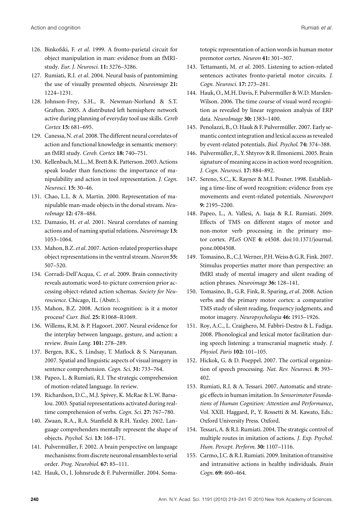- 126. Binkofski, F. *et al*. 1999. A fronto-parietal circuit for object manipulation in man: evidence from an fMRIstudy. *Eur. J. Neurosci.* **11:** 3276–3286.
- 127. Rumiati, R.I. *et al*. 2004. Neural basis of pantomiming the use of visually presented objects. *Neuroimage* **21:** 1224–1231.
- 128. Johnson-Frey, S.H., R. Newman-Norlund & S.T. Grafton. 2005. A distributed left hemisphere network active during planning of everyday tool use skills. *Cereb Cortex* **15:** 681–695.
- 129. Canessa, N.*et al*. 2008. The different neural correlates of action and functional knowledge in semantic memory: an fMRI study. *Cereb. Cortex* **18:** 740–751.
- 130. Kellenbach, M.L., M. Brett & K. Patterson. 2003. Actions speak louder than functions: the importance of manipulability and action in tool representation. *J. Cogn. Neurosci.* **15:** 30–46.
- 131. Chao, L.L. & A. Martin. 2000. Representation of manipulable man-made objects in the dorsal stream. *NeuroImage* **12:** 478–484.
- 132. Damasio, H. *et al*. 2001. Neural correlates of naming actions and of naming spatial relations. *Neuroimage* **13:** 1053–1064.
- 133. Mahon, B.Z.*et al*. 2007. Action-related properties shape object representations in the ventral stream. *Neuron* **55:** 507–520.
- 134. Corradi-Dell'Acqua, C. *et al*. 2009. Brain connectivity reveals automatic word-to-picture conversion prior accessing object-related action schemas. *Society for Neuroscience*. Chicago, IL. (Abstr.).
- 135. Mahon, B.Z. 2008. Action recognition: is it a motor process? *Curr. Biol.* **25:** R1068–R1069.
- 136. Willems, R.M. & P. Hagoort. 2007. Neural evidence for the interplay between language, gesture, and action: a review. *Brain Lang.* **101:** 278–289.
- 137. Bergen, B.K., S. Lindsay, T. Matlock & S. Narayanan. 2007. Spatial and linguistic aspects of visual imagery in sentence comprehension. *Cogn. Sci.* **31:** 733–764.
- 138. Papeo, L. & Rumiati, R.I. The strategic comprehension of motion-related language. In review.
- 139. Richardson, D.C., M.J. Spivey, K. McRae & L.W. Barsalou. 2003. Spatial representations activated during realtime comprehension of verbs. *Cogn. Sci.* **27:** 767–780.
- 140. Zwaan, R.A., R.A. Stanfield & R.H. Yaxley. 2002. Language comprehenders mentally represent the shape of objects. *Psychol. Sci.* **13:** 168–171.
- 141. Pulvermüller, F. 2002. A brain perspective on language mechanisms: from discrete neuronal ensambles to serial order. *Prog. Neurobiol.* **67:** 85–111.
- 142. Hauk, O., I. Johnsrude & F. Pulvermüller. 2004. Soma-

totopic representation of action words in human motor premotor cortex. *Neuron* **41:** 301–307.

- 143. Tettamanti, M. *et al*. 2005. Listening to action-related sentences activates fronto-parietal motor circuits. *J. Cogn. Neurosci.* **17:** 273–281.
- 144. Hauk, O., M.H. Davis, F. Pulvermüller & W.D. Marslen-Wilson. 2006. The time course of visual word recognition as revealed by linear regression analysis of ERP data. *NeuroImage* **30:** 1383–1400.
- 145. Penolazzi, B., O. Hauk & F. Pulvermüller. 2007. Early semantic context integration and lexical access as revealed by event-related potentials. *Biol. Psychol.* **74:** 374–388.
- 146. Pulvermüller, F., Y. Shtyrov & R. Ilmoniemi. 2005. Brain signature of meaning access in action word recognition. *J. Cogn. Neurosci.* **17:** 884–892.
- 147. Sereno, S.C., K. Rayner & M.I. Posner. 1998. Establishing a time-line of word recognition: evidence from eye movements and event-related potentials. *Neuroreport* **9:** 2195–2200.
- 148. Papeo, L., A. Vallesi, A. Isaja & R.I. Rumiati. 2009. Effects of TMS on different stages of motor and non-motor verb processing in the primary motor cortex. *PLoS ONE* **4:** e4508. doi:10.1371/journal. pone.0004508.
- 149. Tomasino, B., C.J. Werner, P.H. Weiss & G.R. Fink. 2007. Stimulus properties matter more than perspective: an fMRI study of mental imagery and silent reading of action phrases. *Neuroimage* **36:** 128–141.
- 150. Tomasino, B., G.R. Fink, R. Sparing, *et al*. 2008. Action verbs and the primary motor cortex: a comparative TMS study of silent reading, frequency judgments, and motor imagery. *Neuropsychologia* **46:** 1915–1926.
- 151. Roy, A.C., L. Craighero, M. Fabbri-Destro & L. Fadiga. 2008. Phonological and lexical motor facilitation during speech listening: a transcranial magnetic study. *J. Physiol. Paris* **102:** 101–105.
- 152. Hickok, G. & D. Poeppel. 2007. The cortical organization of speech processing. *Nat. Rev. Neurosci.* **8:** 393– 402.
- 153. Rumiati, R.I. & A. Tessari. 2007. Automatic and strategic effects in human imitation. In *Sensorimotor Foundations of Human Cognition: Attention and Performance*, Vol. XXII. Haggard, P., Y. Rossetti & M. Kawato, Eds.: Oxford University Press. Oxford.
- 154. Tessari, A. & R.I. Rumiati. 2004. The strategic control of multiple routes in imitation of actions. *J. Exp. Psychol. Hum. Percept. Perform.* **30:** 1107–1116.
- 155. Carmo, J.C. & R.I. Rumiati. 2009. Imitation of transitive and intransitive actions in healthy individuals. *Brain Cogn.* **69:** 460–464.